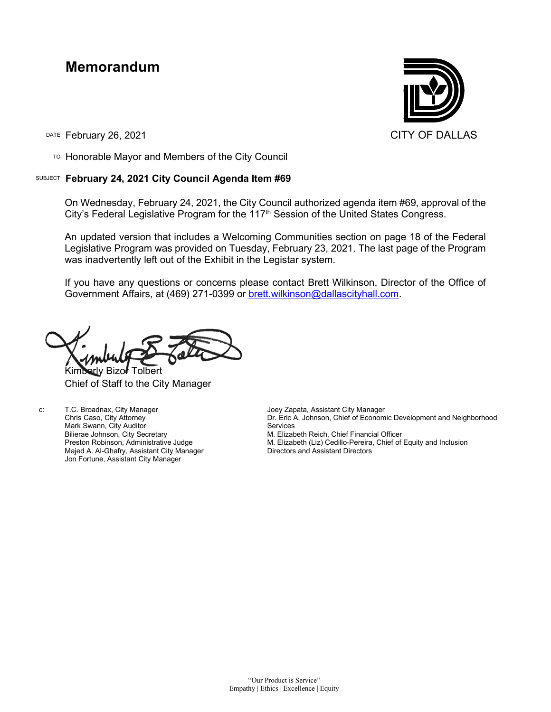# **Memorandum**

DATE February 26, 2021 CITY OF DALLAS

TO Honorable Mayor and Members of the City Council

### SUBJECT **February 24, 2021 City Council Agenda Item #69**

On Wednesday, February 24, 2021, the City Council authorized agenda item #69, approval of the City's Federal Legislative Program for the 117<sup>th</sup> Session of the United States Congress.

An updated version that includes a Welcoming Communities section on page 18 of the Federal Legislative Program was provided on Tuesday, February 23, 2021. The last page of the Program was inadvertently left out of the Exhibit in the Legistar system.

If you have any questions or concerns please contact Brett Wilkinson, Director of the Office of Government Affairs, at (469) 271-0399 or [brett.wilkinson@dallascityhall.com.](mailto:brett.wilkinson@dallascityhall.com)

Kimberly Bizor Tolbert Chief of Staff to the City Manager

c: T.C. Broadnax, City Manager Chris Caso, City Attorney Mark Swann, City Auditor Bilierae Johnson, City Secretary Preston Robinson, Administrative Judge Majed A. Al-Ghafry, Assistant City Manager Jon Fortune, Assistant City Manager

Joey Zapata, Assistant City Manager Dr. Eric A. Johnson, Chief of Economic Development and Neighborhood Services M. Elizabeth Reich, Chief Financial Officer M. Elizabeth (Liz) Cedillo-Pereira, Chief of Equity and Inclusion Directors and Assistant Directors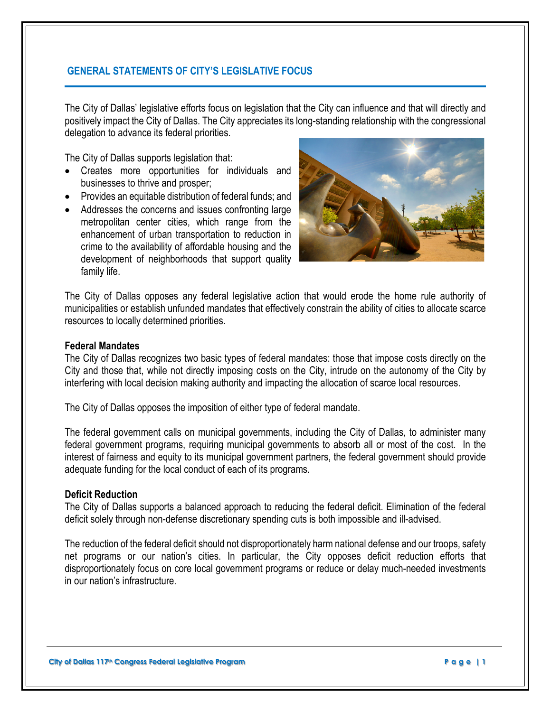# **GENERAL STATEMENTS OF CITY'S LEGISLATIVE FOCUS**

The City of Dallas' legislative efforts focus on legislation that the City can influence and that will directly and positively impact the City of Dallas. The City appreciates its long-standing relationship with the congressional delegation to advance its federal priorities.

The City of Dallas supports legislation that:

- Creates more opportunities for individuals and businesses to thrive and prosper;
- Provides an equitable distribution of federal funds; and
- Addresses the concerns and issues confronting large metropolitan center cities, which range from the enhancement of urban transportation to reduction in crime to the availability of affordable housing and the development of neighborhoods that support quality family life.



The City of Dallas opposes any federal legislative action that would erode the home rule authority of municipalities or establish unfunded mandates that effectively constrain the ability of cities to allocate scarce resources to locally determined priorities.

#### **Federal Mandates**

The City of Dallas recognizes two basic types of federal mandates: those that impose costs directly on the City and those that, while not directly imposing costs on the City, intrude on the autonomy of the City by interfering with local decision making authority and impacting the allocation of scarce local resources.

The City of Dallas opposes the imposition of either type of federal mandate.

The federal government calls on municipal governments, including the City of Dallas, to administer many federal government programs, requiring municipal governments to absorb all or most of the cost. In the interest of fairness and equity to its municipal government partners, the federal government should provide adequate funding for the local conduct of each of its programs.

### **Deficit Reduction**

The City of Dallas supports a balanced approach to reducing the federal deficit. Elimination of the federal deficit solely through non-defense discretionary spending cuts is both impossible and ill-advised.

The reduction of the federal deficit should not disproportionately harm national defense and our troops, safety net programs or our nation's cities. In particular, the City opposes deficit reduction efforts that disproportionately focus on core local government programs or reduce or delay much-needed investments in our nation's infrastructure.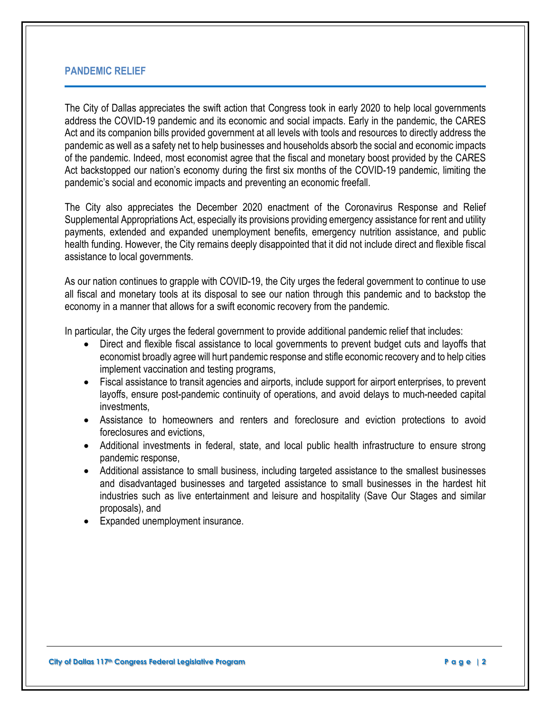# **PANDEMIC RELIEF**

The City of Dallas appreciates the swift action that Congress took in early 2020 to help local governments address the COVID-19 pandemic and its economic and social impacts. Early in the pandemic, the CARES Act and its companion bills provided government at all levels with tools and resources to directly address the pandemic as well as a safety net to help businesses and households absorb the social and economic impacts of the pandemic. Indeed, most economist agree that the fiscal and monetary boost provided by the CARES Act backstopped our nation's economy during the first six months of the COVID-19 pandemic, limiting the pandemic's social and economic impacts and preventing an economic freefall.

The City also appreciates the December 2020 enactment of the Coronavirus Response and Relief Supplemental Appropriations Act, especially its provisions providing emergency assistance for rent and utility payments, extended and expanded unemployment benefits, emergency nutrition assistance, and public health funding. However, the City remains deeply disappointed that it did not include direct and flexible fiscal assistance to local governments.

As our nation continues to grapple with COVID-19, the City urges the federal government to continue to use all fiscal and monetary tools at its disposal to see our nation through this pandemic and to backstop the economy in a manner that allows for a swift economic recovery from the pandemic.

In particular, the City urges the federal government to provide additional pandemic relief that includes:

- Direct and flexible fiscal assistance to local governments to prevent budget cuts and layoffs that economist broadly agree will hurt pandemic response and stifle economic recovery and to help cities implement vaccination and testing programs,
- Fiscal assistance to transit agencies and airports, include support for airport enterprises, to prevent layoffs, ensure post-pandemic continuity of operations, and avoid delays to much-needed capital investments,
- Assistance to homeowners and renters and foreclosure and eviction protections to avoid foreclosures and evictions,
- Additional investments in federal, state, and local public health infrastructure to ensure strong pandemic response,
- Additional assistance to small business, including targeted assistance to the smallest businesses and disadvantaged businesses and targeted assistance to small businesses in the hardest hit industries such as live entertainment and leisure and hospitality (Save Our Stages and similar proposals), and
- Expanded unemployment insurance.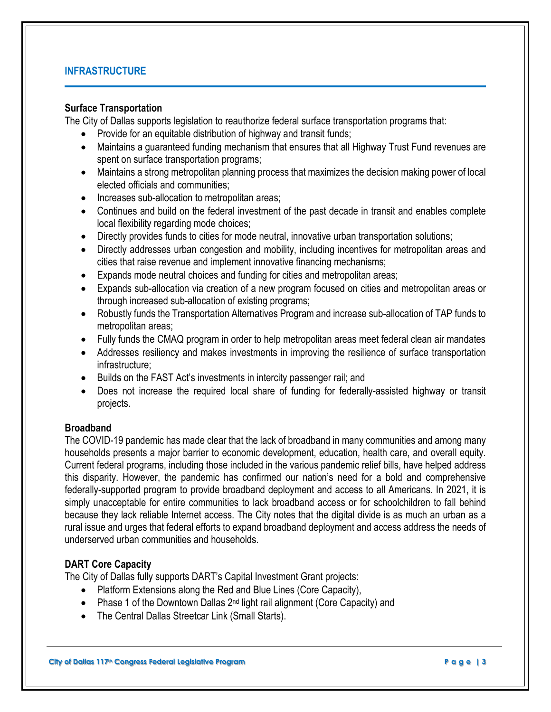# **INFRASTRUCTURE**

### **Surface Transportation**

The City of Dallas supports legislation to reauthorize federal surface transportation programs that:

- Provide for an equitable distribution of highway and transit funds;
- Maintains a guaranteed funding mechanism that ensures that all Highway Trust Fund revenues are spent on surface transportation programs;
- Maintains a strong metropolitan planning process that maximizes the decision making power of local elected officials and communities;
- Increases sub-allocation to metropolitan areas;
- Continues and build on the federal investment of the past decade in transit and enables complete local flexibility regarding mode choices;
- Directly provides funds to cities for mode neutral, innovative urban transportation solutions;
- Directly addresses urban congestion and mobility, including incentives for metropolitan areas and cities that raise revenue and implement innovative financing mechanisms;
- Expands mode neutral choices and funding for cities and metropolitan areas;
- Expands sub-allocation via creation of a new program focused on cities and metropolitan areas or through increased sub-allocation of existing programs;
- Robustly funds the Transportation Alternatives Program and increase sub-allocation of TAP funds to metropolitan areas;
- Fully funds the CMAQ program in order to help metropolitan areas meet federal clean air mandates
- Addresses resiliency and makes investments in improving the resilience of surface transportation infrastructure;
- Builds on the FAST Act's investments in intercity passenger rail; and
- Does not increase the required local share of funding for federally-assisted highway or transit projects.

# **Broadband**

The COVID-19 pandemic has made clear that the lack of broadband in many communities and among many households presents a major barrier to economic development, education, health care, and overall equity. Current federal programs, including those included in the various pandemic relief bills, have helped address this disparity. However, the pandemic has confirmed our nation's need for a bold and comprehensive federally-supported program to provide broadband deployment and access to all Americans. In 2021, it is simply unacceptable for entire communities to lack broadband access or for schoolchildren to fall behind because they lack reliable Internet access. The City notes that the digital divide is as much an urban as a rural issue and urges that federal efforts to expand broadband deployment and access address the needs of underserved urban communities and households.

# **DART Core Capacity**

The City of Dallas fully supports DART's Capital Investment Grant projects:

- Platform Extensions along the Red and Blue Lines (Core Capacity),
- Phase 1 of the Downtown Dallas 2<sup>nd</sup> light rail alignment (Core Capacity) and
- The Central Dallas Streetcar Link (Small Starts).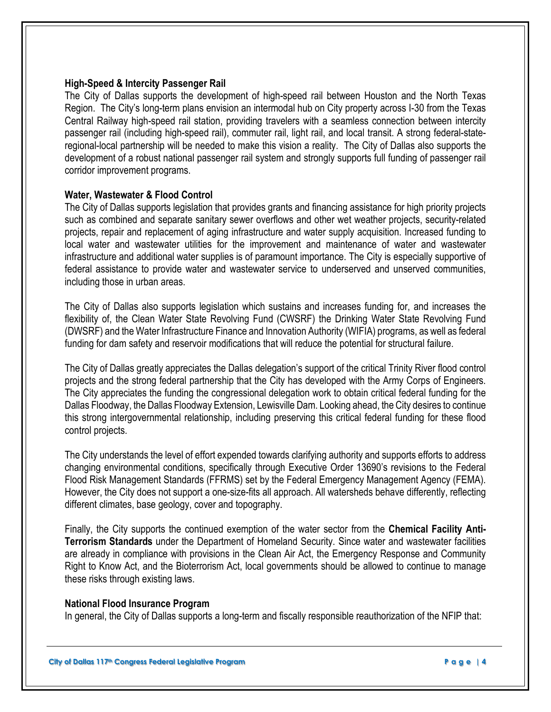### **High-Speed & Intercity Passenger Rail**

The City of Dallas supports the development of high-speed rail between Houston and the North Texas Region. The City's long-term plans envision an intermodal hub on City property across I-30 from the Texas Central Railway high-speed rail station, providing travelers with a seamless connection between intercity passenger rail (including high-speed rail), commuter rail, light rail, and local transit. A strong federal-stateregional-local partnership will be needed to make this vision a reality. The City of Dallas also supports the development of a robust national passenger rail system and strongly supports full funding of passenger rail corridor improvement programs.

### **Water, Wastewater & Flood Control**

The City of Dallas supports legislation that provides grants and financing assistance for high priority projects such as combined and separate sanitary sewer overflows and other wet weather projects, security-related projects, repair and replacement of aging infrastructure and water supply acquisition. Increased funding to local water and wastewater utilities for the improvement and maintenance of water and wastewater infrastructure and additional water supplies is of paramount importance. The City is especially supportive of federal assistance to provide water and wastewater service to underserved and unserved communities, including those in urban areas.

The City of Dallas also supports legislation which sustains and increases funding for, and increases the flexibility of, the Clean Water State Revolving Fund (CWSRF) the Drinking Water State Revolving Fund (DWSRF) and the Water Infrastructure Finance and Innovation Authority (WIFIA) programs, as well as federal funding for dam safety and reservoir modifications that will reduce the potential for structural failure.

The City of Dallas greatly appreciates the Dallas delegation's support of the critical Trinity River flood control projects and the strong federal partnership that the City has developed with the Army Corps of Engineers. The City appreciates the funding the congressional delegation work to obtain critical federal funding for the Dallas Floodway, the Dallas Floodway Extension, Lewisville Dam. Looking ahead, the City desires to continue this strong intergovernmental relationship, including preserving this critical federal funding for these flood control projects.

The City understands the level of effort expended towards clarifying authority and supports efforts to address changing environmental conditions, specifically through Executive Order 13690's revisions to the Federal Flood Risk Management Standards (FFRMS) set by the Federal Emergency Management Agency (FEMA). However, the City does not support a one-size-fits all approach. All watersheds behave differently, reflecting different climates, base geology, cover and topography.

Finally, the City supports the continued exemption of the water sector from the **Chemical Facility Anti-Terrorism Standards** under the Department of Homeland Security. Since water and wastewater facilities are already in compliance with provisions in the Clean Air Act, the Emergency Response and Community Right to Know Act, and the Bioterrorism Act, local governments should be allowed to continue to manage these risks through existing laws.

#### **National Flood Insurance Program**

In general, the City of Dallas supports a long-term and fiscally responsible reauthorization of the NFIP that: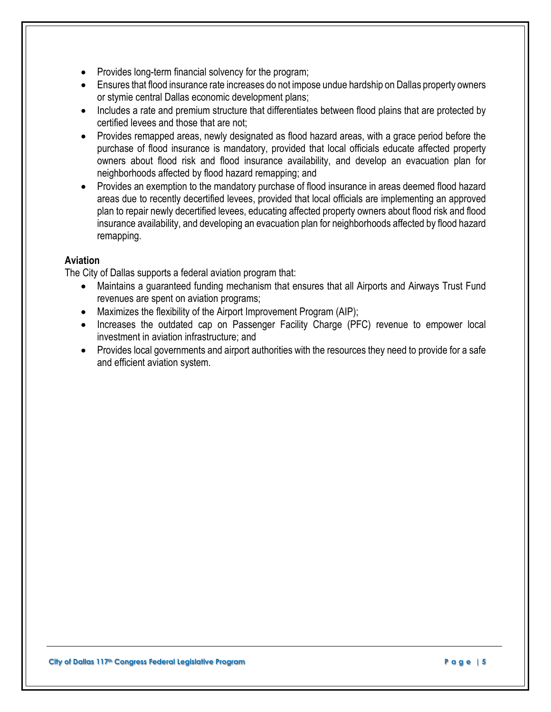- Provides long-term financial solvency for the program;
- Ensures that flood insurance rate increases do not impose undue hardship on Dallas property owners or stymie central Dallas economic development plans;
- Includes a rate and premium structure that differentiates between flood plains that are protected by certified levees and those that are not;
- Provides remapped areas, newly designated as flood hazard areas, with a grace period before the purchase of flood insurance is mandatory, provided that local officials educate affected property owners about flood risk and flood insurance availability, and develop an evacuation plan for neighborhoods affected by flood hazard remapping; and
- Provides an exemption to the mandatory purchase of flood insurance in areas deemed flood hazard areas due to recently decertified levees, provided that local officials are implementing an approved plan to repair newly decertified levees, educating affected property owners about flood risk and flood insurance availability, and developing an evacuation plan for neighborhoods affected by flood hazard remapping.

# **Aviation**

The City of Dallas supports a federal aviation program that:

- Maintains a guaranteed funding mechanism that ensures that all Airports and Airways Trust Fund revenues are spent on aviation programs;
- Maximizes the flexibility of the Airport Improvement Program (AIP);
- Increases the outdated cap on Passenger Facility Charge (PFC) revenue to empower local investment in aviation infrastructure; and
- Provides local governments and airport authorities with the resources they need to provide for a safe and efficient aviation system.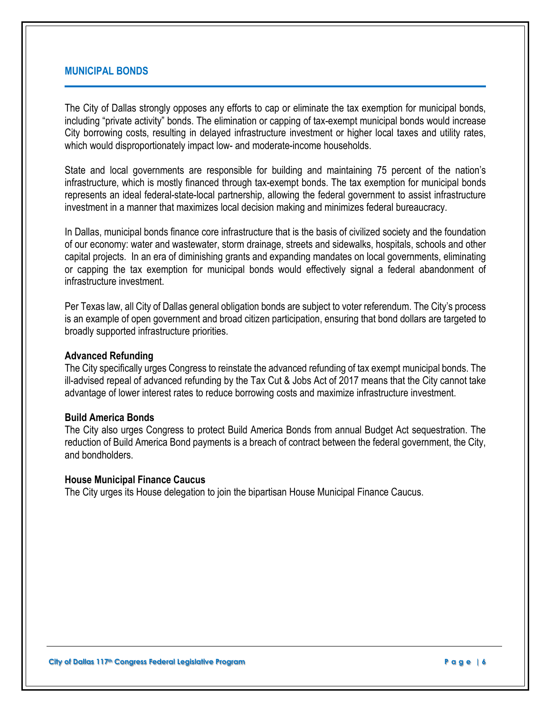# **MUNICIPAL BONDS**

The City of Dallas strongly opposes any efforts to cap or eliminate the tax exemption for municipal bonds, including "private activity" bonds. The elimination or capping of tax-exempt municipal bonds would increase City borrowing costs, resulting in delayed infrastructure investment or higher local taxes and utility rates, which would disproportionately impact low- and moderate-income households.

State and local governments are responsible for building and maintaining 75 percent of the nation's infrastructure, which is mostly financed through tax-exempt bonds. The tax exemption for municipal bonds represents an ideal federal-state-local partnership, allowing the federal government to assist infrastructure investment in a manner that maximizes local decision making and minimizes federal bureaucracy.

In Dallas, municipal bonds finance core infrastructure that is the basis of civilized society and the foundation of our economy: water and wastewater, storm drainage, streets and sidewalks, hospitals, schools and other capital projects. In an era of diminishing grants and expanding mandates on local governments, eliminating or capping the tax exemption for municipal bonds would effectively signal a federal abandonment of infrastructure investment.

Per Texas law, all City of Dallas general obligation bonds are subject to voter referendum. The City's process is an example of open government and broad citizen participation, ensuring that bond dollars are targeted to broadly supported infrastructure priorities.

#### **Advanced Refunding**

The City specifically urges Congress to reinstate the advanced refunding of tax exempt municipal bonds. The ill-advised repeal of advanced refunding by the Tax Cut & Jobs Act of 2017 means that the City cannot take advantage of lower interest rates to reduce borrowing costs and maximize infrastructure investment.

#### **Build America Bonds**

The City also urges Congress to protect Build America Bonds from annual Budget Act sequestration. The reduction of Build America Bond payments is a breach of contract between the federal government, the City, and bondholders.

#### **House Municipal Finance Caucus**

The City urges its House delegation to join the bipartisan House Municipal Finance Caucus.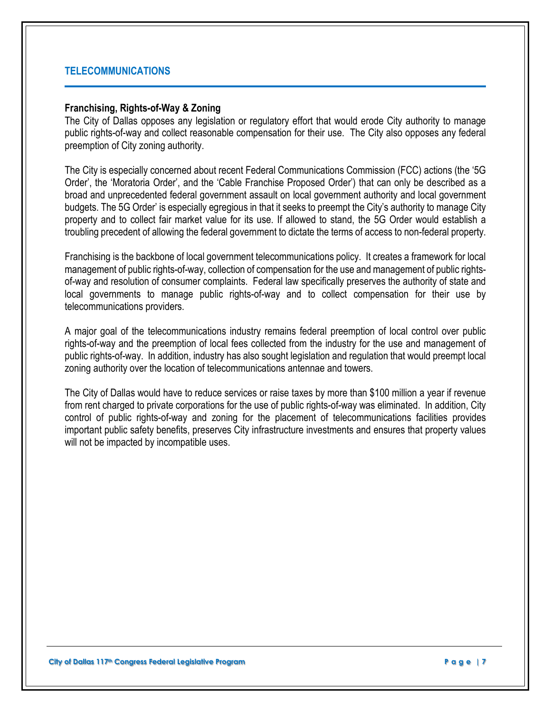# **TELECOMMUNICATIONS**

## **Franchising, Rights-of-Way & Zoning**

The City of Dallas opposes any legislation or regulatory effort that would erode City authority to manage public rights-of-way and collect reasonable compensation for their use. The City also opposes any federal preemption of City zoning authority.

The City is especially concerned about recent Federal Communications Commission (FCC) actions (the '5G Order', the 'Moratoria Order', and the 'Cable Franchise Proposed Order') that can only be described as a broad and unprecedented federal government assault on local government authority and local government budgets. The 5G Order' is especially egregious in that it seeks to preempt the City's authority to manage City property and to collect fair market value for its use. If allowed to stand, the 5G Order would establish a troubling precedent of allowing the federal government to dictate the terms of access to non-federal property.

Franchising is the backbone of local government telecommunications policy. It creates a framework for local management of public rights-of-way, collection of compensation for the use and management of public rightsof-way and resolution of consumer complaints. Federal law specifically preserves the authority of state and local governments to manage public rights-of-way and to collect compensation for their use by telecommunications providers.

A major goal of the telecommunications industry remains federal preemption of local control over public rights-of-way and the preemption of local fees collected from the industry for the use and management of public rights-of-way. In addition, industry has also sought legislation and regulation that would preempt local zoning authority over the location of telecommunications antennae and towers.

The City of Dallas would have to reduce services or raise taxes by more than \$100 million a year if revenue from rent charged to private corporations for the use of public rights-of-way was eliminated. In addition, City control of public rights-of-way and zoning for the placement of telecommunications facilities provides important public safety benefits, preserves City infrastructure investments and ensures that property values will not be impacted by incompatible uses.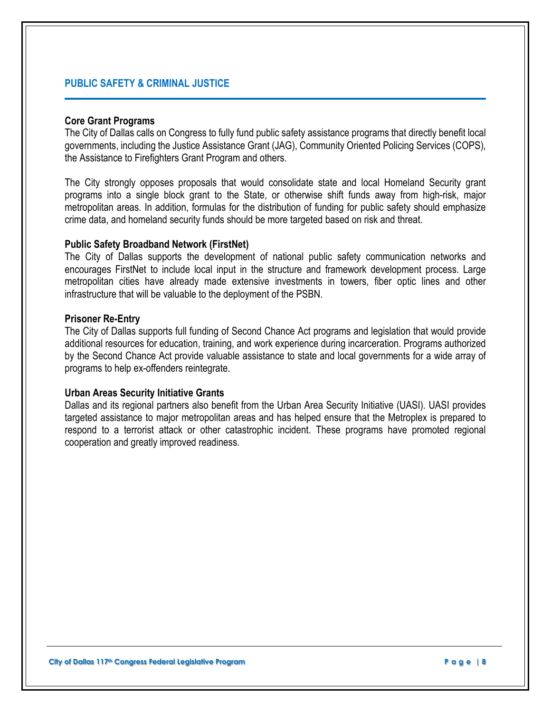# **PUBLIC SAFETY & CRIMINAL JUSTICE**

#### **Core Grant Programs**

The City of Dallas calls on Congress to fully fund public safety assistance programs that directly benefit local governments, including the Justice Assistance Grant (JAG), Community Oriented Policing Services (COPS), the Assistance to Firefighters Grant Program and others.

The City strongly opposes proposals that would consolidate state and local Homeland Security grant programs into a single block grant to the State, or otherwise shift funds away from high-risk, major metropolitan areas. In addition, formulas for the distribution of funding for public safety should emphasize crime data, and homeland security funds should be more targeted based on risk and threat.

### **Public Safety Broadband Network (FirstNet)**

The City of Dallas supports the development of national public safety communication networks and encourages FirstNet to include local input in the structure and framework development process. Large metropolitan cities have already made extensive investments in towers, fiber optic lines and other infrastructure that will be valuable to the deployment of the PSBN.

### **Prisoner Re-Entry**

The City of Dallas supports full funding of Second Chance Act programs and legislation that would provide additional resources for education, training, and work experience during incarceration. Programs authorized by the Second Chance Act provide valuable assistance to state and local governments for a wide array of programs to help ex-offenders reintegrate.

# **Urban Areas Security Initiative Grants**

Dallas and its regional partners also benefit from the Urban Area Security Initiative (UASI). UASI provides targeted assistance to major metropolitan areas and has helped ensure that the Metroplex is prepared to respond to a terrorist attack or other catastrophic incident. These programs have promoted regional cooperation and greatly improved readiness.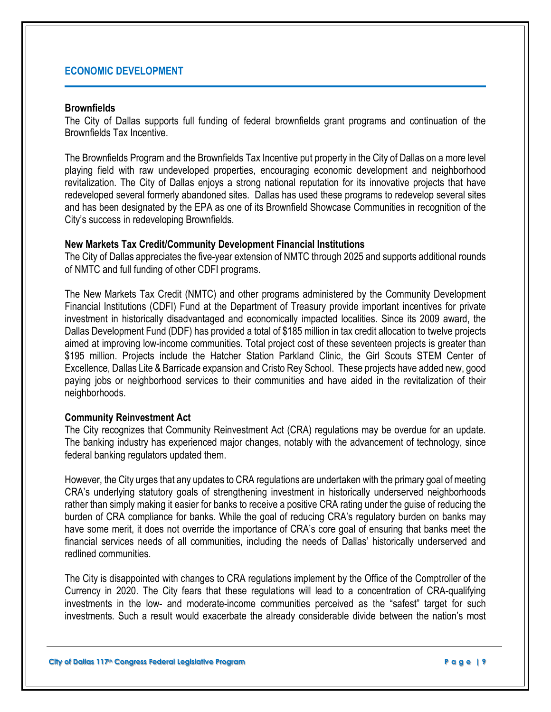# **ECONOMIC DEVELOPMENT**

#### **Brownfields**

The City of Dallas supports full funding of federal brownfields grant programs and continuation of the Brownfields Tax Incentive.

The Brownfields Program and the Brownfields Tax Incentive put property in the City of Dallas on a more level playing field with raw undeveloped properties, encouraging economic development and neighborhood revitalization. The City of Dallas enjoys a strong national reputation for its innovative projects that have redeveloped several formerly abandoned sites. Dallas has used these programs to redevelop several sites and has been designated by the EPA as one of its Brownfield Showcase Communities in recognition of the City's success in redeveloping Brownfields.

#### **New Markets Tax Credit/Community Development Financial Institutions**

The City of Dallas appreciates the five-year extension of NMTC through 2025 and supports additional rounds of NMTC and full funding of other CDFI programs.

The New Markets Tax Credit (NMTC) and other programs administered by the Community Development Financial Institutions (CDFI) Fund at the Department of Treasury provide important incentives for private investment in historically disadvantaged and economically impacted localities. Since its 2009 award, the Dallas Development Fund (DDF) has provided a total of \$185 million in tax credit allocation to twelve projects aimed at improving low-income communities. Total project cost of these seventeen projects is greater than \$195 million. Projects include the Hatcher Station Parkland Clinic, the Girl Scouts STEM Center of Excellence, Dallas Lite & Barricade expansion and Cristo Rey School. These projects have added new, good paying jobs or neighborhood services to their communities and have aided in the revitalization of their neighborhoods.

#### **Community Reinvestment Act**

The City recognizes that Community Reinvestment Act (CRA) regulations may be overdue for an update. The banking industry has experienced major changes, notably with the advancement of technology, since federal banking regulators updated them.

However, the City urges that any updates to CRA regulations are undertaken with the primary goal of meeting CRA's underlying statutory goals of strengthening investment in historically underserved neighborhoods rather than simply making it easier for banks to receive a positive CRA rating under the guise of reducing the burden of CRA compliance for banks. While the goal of reducing CRA's regulatory burden on banks may have some merit, it does not override the importance of CRA's core goal of ensuring that banks meet the financial services needs of all communities, including the needs of Dallas' historically underserved and redlined communities.

The City is disappointed with changes to CRA regulations implement by the Office of the Comptroller of the Currency in 2020. The City fears that these regulations will lead to a concentration of CRA-qualifying investments in the low- and moderate-income communities perceived as the "safest" target for such investments. Such a result would exacerbate the already considerable divide between the nation's most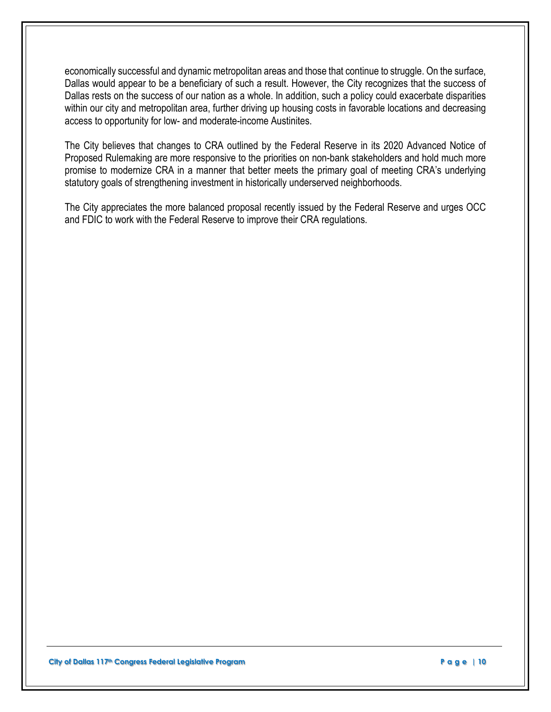economically successful and dynamic metropolitan areas and those that continue to struggle. On the surface, Dallas would appear to be a beneficiary of such a result. However, the City recognizes that the success of Dallas rests on the success of our nation as a whole. In addition, such a policy could exacerbate disparities within our city and metropolitan area, further driving up housing costs in favorable locations and decreasing access to opportunity for low- and moderate-income Austinites.

The City believes that changes to CRA outlined by the Federal Reserve in its 2020 Advanced Notice of Proposed Rulemaking are more responsive to the priorities on non-bank stakeholders and hold much more promise to modernize CRA in a manner that better meets the primary goal of meeting CRA's underlying statutory goals of strengthening investment in historically underserved neighborhoods.

The City appreciates the more balanced proposal recently issued by the Federal Reserve and urges OCC and FDIC to work with the Federal Reserve to improve their CRA regulations.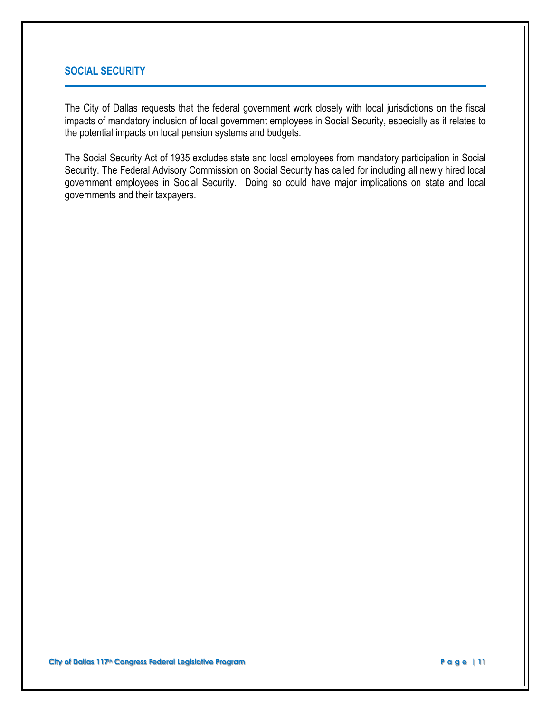# **SOCIAL SECURITY**

The City of Dallas requests that the federal government work closely with local jurisdictions on the fiscal impacts of mandatory inclusion of local government employees in Social Security, especially as it relates to the potential impacts on local pension systems and budgets.

The Social Security Act of 1935 excludes state and local employees from mandatory participation in Social Security. The Federal Advisory Commission on Social Security has called for including all newly hired local government employees in Social Security. Doing so could have major implications on state and local governments and their taxpayers.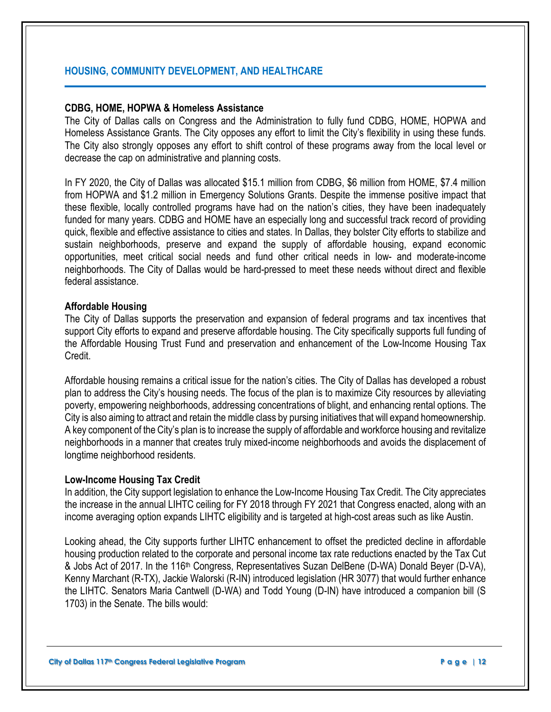# **HOUSING, COMMUNITY DEVELOPMENT, AND HEALTHCARE**

## **CDBG, HOME, HOPWA & Homeless Assistance**

The City of Dallas calls on Congress and the Administration to fully fund CDBG, HOME, HOPWA and Homeless Assistance Grants. The City opposes any effort to limit the City's flexibility in using these funds. The City also strongly opposes any effort to shift control of these programs away from the local level or decrease the cap on administrative and planning costs.

In FY 2020, the City of Dallas was allocated \$15.1 million from CDBG, \$6 million from HOME, \$7.4 million from HOPWA and \$1.2 million in Emergency Solutions Grants. Despite the immense positive impact that these flexible, locally controlled programs have had on the nation's cities, they have been inadequately funded for many years. CDBG and HOME have an especially long and successful track record of providing quick, flexible and effective assistance to cities and states. In Dallas, they bolster City efforts to stabilize and sustain neighborhoods, preserve and expand the supply of affordable housing, expand economic opportunities, meet critical social needs and fund other critical needs in low- and moderate-income neighborhoods. The City of Dallas would be hard-pressed to meet these needs without direct and flexible federal assistance.

### **Affordable Housing**

The City of Dallas supports the preservation and expansion of federal programs and tax incentives that support City efforts to expand and preserve affordable housing. The City specifically supports full funding of the Affordable Housing Trust Fund and preservation and enhancement of the Low-Income Housing Tax **Credit** 

Affordable housing remains a critical issue for the nation's cities. The City of Dallas has developed a robust plan to address the City's housing needs. The focus of the plan is to maximize City resources by alleviating poverty, empowering neighborhoods, addressing concentrations of blight, and enhancing rental options. The City is also aiming to attract and retain the middle class by pursing initiatives that will expand homeownership. A key component of the City's plan is to increase the supply of affordable and workforce housing and revitalize neighborhoods in a manner that creates truly mixed-income neighborhoods and avoids the displacement of longtime neighborhood residents.

# **Low-Income Housing Tax Credit**

In addition, the City support legislation to enhance the Low-Income Housing Tax Credit. The City appreciates the increase in the annual LIHTC ceiling for FY 2018 through FY 2021 that Congress enacted, along with an income averaging option expands LIHTC eligibility and is targeted at high-cost areas such as like Austin.

Looking ahead, the City supports further LIHTC enhancement to offset the predicted decline in affordable housing production related to the corporate and personal income tax rate reductions enacted by the Tax Cut & Jobs Act of 2017. In the 116th Congress, Representatives Suzan DelBene (D-WA) Donald Beyer (D-VA), Kenny Marchant (R-TX), Jackie Walorski (R-IN) introduced legislation (HR 3077) that would further enhance the LIHTC. Senators Maria Cantwell (D-WA) and Todd Young (D-IN) have introduced a companion bill (S 1703) in the Senate. The bills would: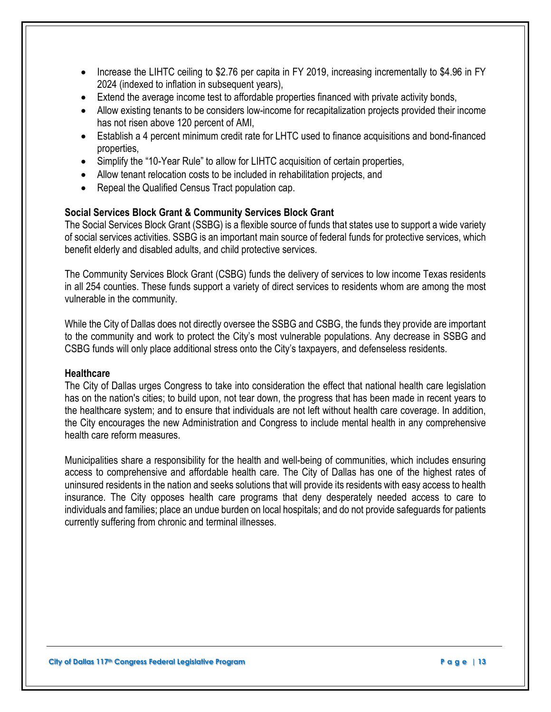- Increase the LIHTC ceiling to \$2.76 per capita in FY 2019, increasing incrementally to \$4.96 in FY 2024 (indexed to inflation in subsequent years),
- Extend the average income test to affordable properties financed with private activity bonds,
- Allow existing tenants to be considers low-income for recapitalization projects provided their income has not risen above 120 percent of AMI,
- Establish a 4 percent minimum credit rate for LHTC used to finance acquisitions and bond-financed properties,
- Simplify the "10-Year Rule" to allow for LIHTC acquisition of certain properties,
- Allow tenant relocation costs to be included in rehabilitation projects, and
- Repeal the Qualified Census Tract population cap.

# **Social Services Block Grant & Community Services Block Grant**

The Social Services Block Grant (SSBG) is a flexible source of funds that states use to support a wide variety of social services activities. SSBG is an important main source of federal funds for protective services, which benefit elderly and disabled adults, and child protective services.

The Community Services Block Grant (CSBG) funds the delivery of services to low income Texas residents in all 254 counties. These funds support a variety of direct services to residents whom are among the most vulnerable in the community.

While the City of Dallas does not directly oversee the SSBG and CSBG, the funds they provide are important to the community and work to protect the City's most vulnerable populations. Any decrease in SSBG and CSBG funds will only place additional stress onto the City's taxpayers, and defenseless residents.

#### **Healthcare**

The City of Dallas urges Congress to take into consideration the effect that national health care legislation has on the nation's cities; to build upon, not tear down, the progress that has been made in recent years to the healthcare system; and to ensure that individuals are not left without health care coverage. In addition, the City encourages the new Administration and Congress to include mental health in any comprehensive health care reform measures.

Municipalities share a responsibility for the health and well-being of communities, which includes ensuring access to comprehensive and affordable health care. The City of Dallas has one of the highest rates of uninsured residents in the nation and seeks solutions that will provide its residents with easy access to health insurance. The City opposes health care programs that deny desperately needed access to care to individuals and families; place an undue burden on local hospitals; and do not provide safeguards for patients currently suffering from chronic and terminal illnesses.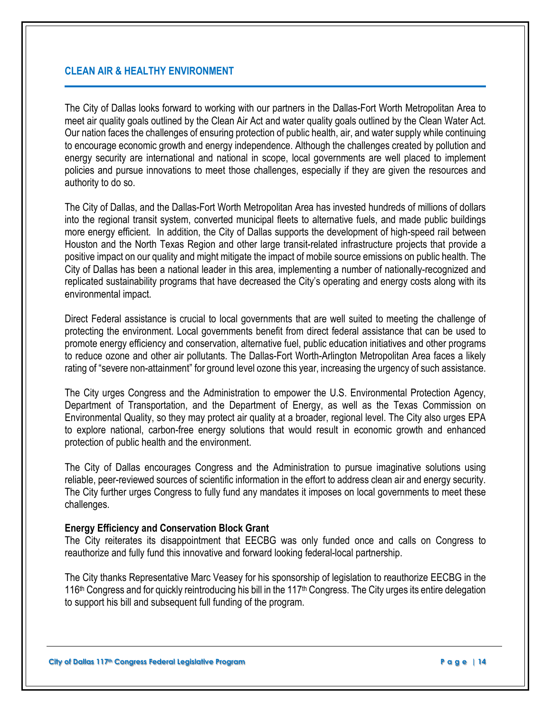# **CLEAN AIR & HEALTHY ENVIRONMENT**

The City of Dallas looks forward to working with our partners in the Dallas-Fort Worth Metropolitan Area to meet air quality goals outlined by the Clean Air Act and water quality goals outlined by the Clean Water Act. Our nation faces the challenges of ensuring protection of public health, air, and water supply while continuing to encourage economic growth and energy independence. Although the challenges created by pollution and energy security are international and national in scope, local governments are well placed to implement policies and pursue innovations to meet those challenges, especially if they are given the resources and authority to do so.

The City of Dallas, and the Dallas-Fort Worth Metropolitan Area has invested hundreds of millions of dollars into the regional transit system, converted municipal fleets to alternative fuels, and made public buildings more energy efficient. In addition, the City of Dallas supports the development of high-speed rail between Houston and the North Texas Region and other large transit-related infrastructure projects that provide a positive impact on our quality and might mitigate the impact of mobile source emissions on public health. The City of Dallas has been a national leader in this area, implementing a number of nationally-recognized and replicated sustainability programs that have decreased the City's operating and energy costs along with its environmental impact.

Direct Federal assistance is crucial to local governments that are well suited to meeting the challenge of protecting the environment. Local governments benefit from direct federal assistance that can be used to promote energy efficiency and conservation, alternative fuel, public education initiatives and other programs to reduce ozone and other air pollutants. The Dallas-Fort Worth-Arlington Metropolitan Area faces a likely rating of "severe non-attainment" for ground level ozone this year, increasing the urgency of such assistance.

The City urges Congress and the Administration to empower the U.S. Environmental Protection Agency, Department of Transportation, and the Department of Energy, as well as the Texas Commission on Environmental Quality, so they may protect air quality at a broader, regional level. The City also urges EPA to explore national, carbon-free energy solutions that would result in economic growth and enhanced protection of public health and the environment.

The City of Dallas encourages Congress and the Administration to pursue imaginative solutions using reliable, peer-reviewed sources of scientific information in the effort to address clean air and energy security. The City further urges Congress to fully fund any mandates it imposes on local governments to meet these challenges.

#### **Energy Efficiency and Conservation Block Grant**

The City reiterates its disappointment that EECBG was only funded once and calls on Congress to reauthorize and fully fund this innovative and forward looking federal-local partnership.

The City thanks Representative Marc Veasey for his sponsorship of legislation to reauthorize EECBG in the 116<sup>th</sup> Congress and for quickly reintroducing his bill in the 117<sup>th</sup> Congress. The City urges its entire delegation to support his bill and subsequent full funding of the program.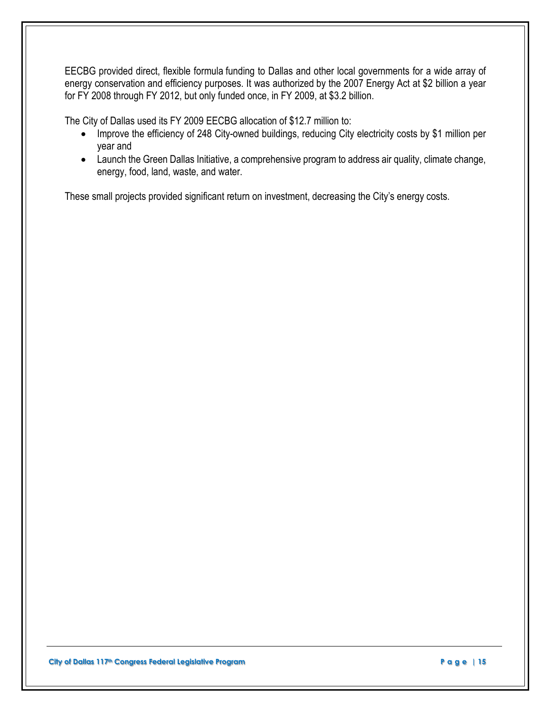EECBG provided direct, flexible formula funding to Dallas and other local governments for a wide array of energy conservation and efficiency purposes. It was authorized by the 2007 Energy Act at \$2 billion a year for FY 2008 through FY 2012, but only funded once, in FY 2009, at \$3.2 billion.

The City of Dallas used its FY 2009 EECBG allocation of \$12.7 million to:

- Improve the efficiency of 248 City-owned buildings, reducing City electricity costs by \$1 million per year and
- Launch the Green Dallas Initiative, a comprehensive program to address air quality, climate change, energy, food, land, waste, and water.

These small projects provided significant return on investment, decreasing the City's energy costs.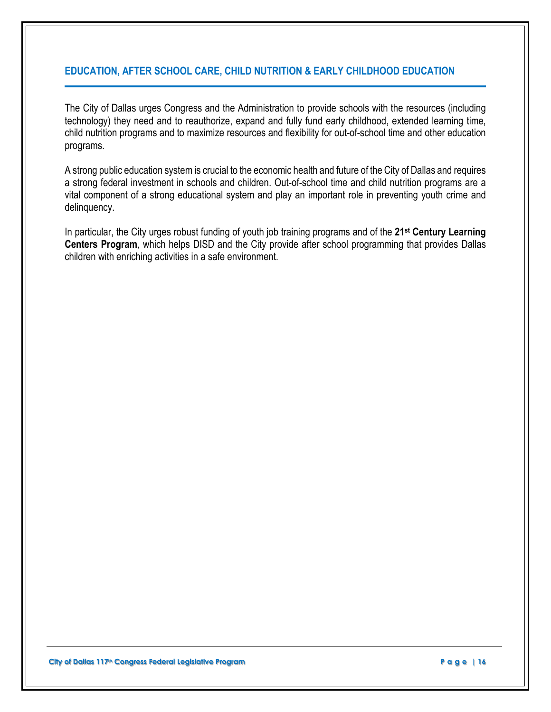# **EDUCATION, AFTER SCHOOL CARE, CHILD NUTRITION & EARLY CHILDHOOD EDUCATION**

The City of Dallas urges Congress and the Administration to provide schools with the resources (including technology) they need and to reauthorize, expand and fully fund early childhood, extended learning time, child nutrition programs and to maximize resources and flexibility for out-of-school time and other education programs.

A strong public education system is crucial to the economic health and future of the City of Dallas and requires a strong federal investment in schools and children. Out-of-school time and child nutrition programs are a vital component of a strong educational system and play an important role in preventing youth crime and delinquency.

In particular, the City urges robust funding of youth job training programs and of the **21st Century Learning Centers Program**, which helps DISD and the City provide after school programming that provides Dallas children with enriching activities in a safe environment.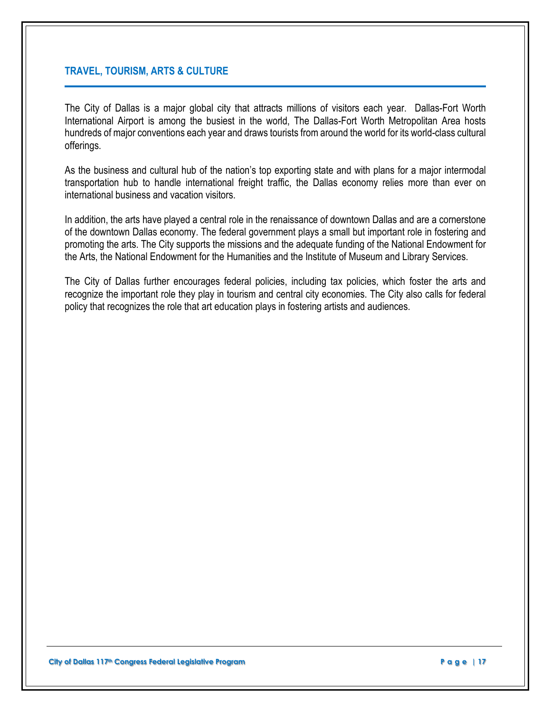## **TRAVEL, TOURISM, ARTS & CULTURE**

The City of Dallas is a major global city that attracts millions of visitors each year. Dallas-Fort Worth International Airport is among the busiest in the world, The Dallas-Fort Worth Metropolitan Area hosts hundreds of major conventions each year and draws tourists from around the world for its world-class cultural offerings.

As the business and cultural hub of the nation's top exporting state and with plans for a major intermodal transportation hub to handle international freight traffic, the Dallas economy relies more than ever on international business and vacation visitors.

In addition, the arts have played a central role in the renaissance of downtown Dallas and are a cornerstone of the downtown Dallas economy. The federal government plays a small but important role in fostering and promoting the arts. The City supports the missions and the adequate funding of the National Endowment for the Arts, the National Endowment for the Humanities and the Institute of Museum and Library Services.

The City of Dallas further encourages federal policies, including tax policies, which foster the arts and recognize the important role they play in tourism and central city economies. The City also calls for federal policy that recognizes the role that art education plays in fostering artists and audiences.